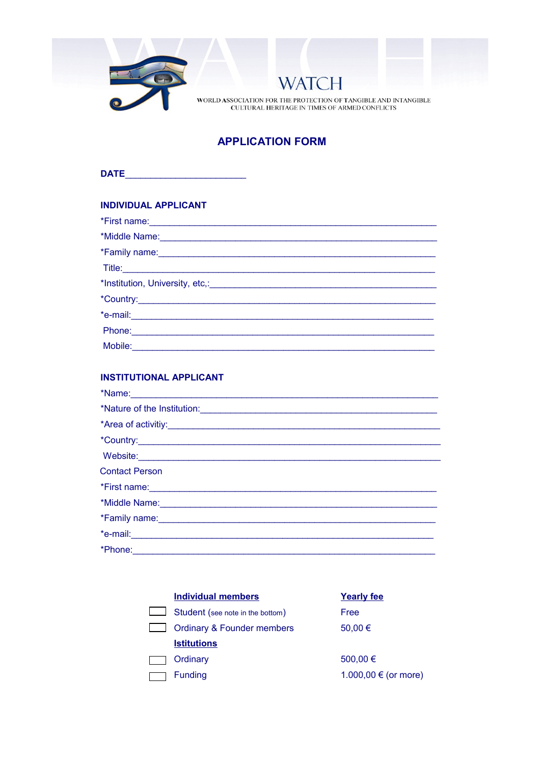

 ${\bf WORLD}$  ASSOCIATION FOR THE PROTECTION OF TANGIBLE AND INTANGIBLE CULTURAL HERITAGE IN TIMES OF ARMED CONFLICTS

 $\overline{\rm H}$ 

**WAT** 

# **APPLICATION FORM**

| DATE |  |  |  |
|------|--|--|--|
|      |  |  |  |

## **INDIVIDUAL APPLICANT**

| *Family name: <u>contained a series of the series of the series of the series of the series of the series of the series of the series of the series of the series of the series of the series of the series of the series of the</u> |  |
|--------------------------------------------------------------------------------------------------------------------------------------------------------------------------------------------------------------------------------------|--|
|                                                                                                                                                                                                                                      |  |
|                                                                                                                                                                                                                                      |  |
|                                                                                                                                                                                                                                      |  |
|                                                                                                                                                                                                                                      |  |
| Phone: 2008 Phone: 2008 Phone: 2008 Phone: 2008 Phone: 2008 Phone: 2008 Phone: 2008 Phone: 2008 Phone: 2008 Phone: 2008 Phone: 2008 Phone: 2008 Phone: 2008 Phone: 2008 Phone: 2008 Phone: 2008 Phone: 2008 Phone: 2008 Phone:       |  |
|                                                                                                                                                                                                                                      |  |

### **INSTITUTIONAL APPLICANT**

| *Nature of the Institution:                                                                                                                                                                                                          |
|--------------------------------------------------------------------------------------------------------------------------------------------------------------------------------------------------------------------------------------|
|                                                                                                                                                                                                                                      |
|                                                                                                                                                                                                                                      |
|                                                                                                                                                                                                                                      |
| <b>Contact Person</b>                                                                                                                                                                                                                |
| *First name: <u>Communications and the set of the set of the set of the set of the set of the set of the set of the set of the set of the set of the set of the set of the set of the set of the set of the set of the set of th</u> |
| *Middle Name: <u>Conservation and the conservation of the conservation</u>                                                                                                                                                           |
| *Family name: <u>contained a series of the series of the series of the series of the series of the series of the series of the series of the series of the series of the series of the series of the series of the series of the</u> |
|                                                                                                                                                                                                                                      |
|                                                                                                                                                                                                                                      |

| <b>Individual members</b>        | <b>Yearly fee</b>    |
|----------------------------------|----------------------|
| Student (see note in the bottom) | Free                 |
| Ordinary & Founder members       | 50,00 €              |
| <b>Istitutions</b>               |                      |
| Ordinary                         | 500,00 €             |
| <b>Funding</b>                   | 1.000,00 € (or more) |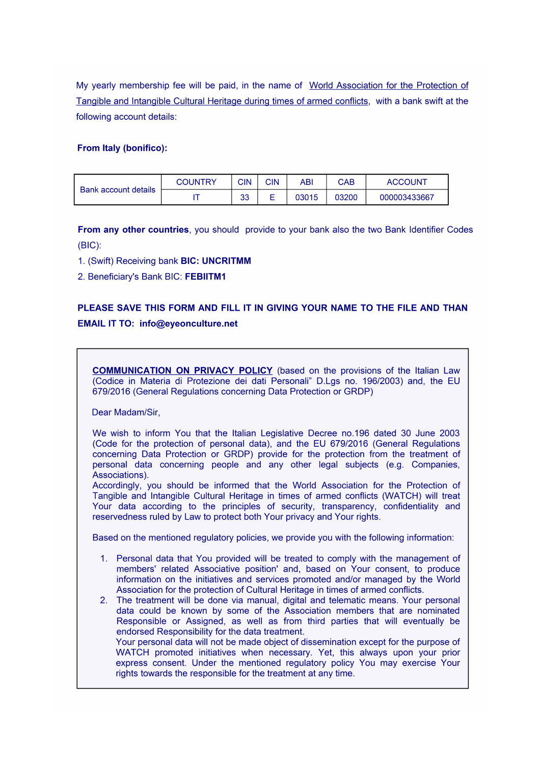My yearly membership fee will be paid, in the name of World Association for the Protection of Tangible and Intangible Cultural Heritage during times of armed conflicts, with a bank swift at the following account details:

#### From Italy (bonifico):

| Bank account details | <b>COUNTRY</b> | <b>CIN</b> | CIN    | ABI   | <b>CAB</b> | <b>ACCOUNT</b> |
|----------------------|----------------|------------|--------|-------|------------|----------------|
|                      |                | າາ<br>ບບ   | -<br>– | 03015 | 03200      | 000003433667   |

From any other countries, you should provide to your bank also the two Bank Identifier Codes  $(BIC)$ :

- 1. (Swift) Receiving bank BIC: UNCRITMM
- 2. Beneficiary's Bank BIC: FEBIITM1

## PLEASE SAVE THIS FORM AND FILL IT IN GIVING YOUR NAME TO THE FILE AND THAN **EMAIL IT TO: info@eyeonculture.net**

**COMMUNICATION ON PRIVACY POLICY** (based on the provisions of the Italian Law (Codice in Materia di Protezione dei dati Personali" D.Lgs no. 196/2003) and, the EU 679/2016 (General Regulations concerning Data Protection or GRDP)

Dear Madam/Sir,

We wish to inform You that the Italian Legislative Decree no.196 dated 30 June 2003 (Code for the protection of personal data), and the EU 679/2016 (General Regulations concerning Data Protection or GRDP) provide for the protection from the treatment of personal data concerning people and any other legal subjects (e.g. Companies, Associations).

Accordingly, you should be informed that the World Association for the Protection of Tangible and Intangible Cultural Heritage in times of armed conflicts (WATCH) will treat Your data according to the principles of security, transparency, confidentiality and reservedness ruled by Law to protect both Your privacy and Your rights.

Based on the mentioned regulatory policies, we provide you with the following information:

- 1. Personal data that You provided will be treated to comply with the management of members' related Associative position' and, based on Your consent, to produce information on the initiatives and services promoted and/or managed by the World Association for the protection of Cultural Heritage in times of armed conflicts.
- 2. The treatment will be done via manual, digital and telematic means. Your personal data could be known by some of the Association members that are nominated Responsible or Assigned, as well as from third parties that will eventually be endorsed Responsibility for the data treatment. Your personal data will not be made object of dissemination except for the purpose of WATCH promoted initiatives when necessary. Yet, this always upon your prior express consent. Under the mentioned regulatory policy You may exercise Your rights towards the responsible for the treatment at any time.